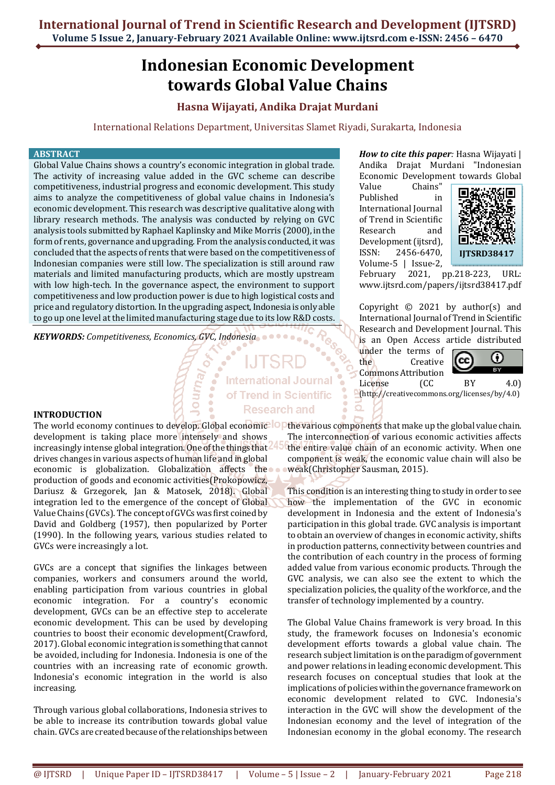# **Indonesian Economic Development towards Global Value Chains**

## **Hasna Wijayati, Andika Drajat Murdani**

International Relations Department, Universitas Slamet Riyadi, Surakarta, Indonesia

**International Journal** of Trend in Scientific **Research and** 

### **ABSTRACT**

Global Value Chains shows a country's economic integration in global trade. The activity of increasing value added in the GVC scheme can describe competitiveness, industrial progress and economic development. This study aims to analyze the competitiveness of global value chains in Indonesia's economic development. This research was descriptive qualitative along with library research methods. The analysis was conducted by relying on GVC analysis tools submitted by Raphael Kaplinsky and Mike Morris (2000), in the form of rents, governance and upgrading. From the analysis conducted, it was concluded that the aspects of rents that were based on the competitiveness of Indonesian companies were still low. The specialization is still around raw materials and limited manufacturing products, which are mostly upstream with low high-tech. In the governance aspect, the environment to support competitiveness and low production power is due to high logistical costs and price and regulatory distortion. In the upgrading aspect, Indonesia is only able to go up one level at the limited manufacturing stage due to its low R&D costs.

*KEYWORDS: Competitiveness, Economics, GVC, Indonesia*

**INTRODUCTION** 

development is taking place more intensely and shows increasingly intense global integration. One of the things that drives changes in various aspects of human life and in global economic is globalization. Globalization affects the production of goods and economic activities(Prokopowicz, Dariusz & Grzegorek, Jan & Matosek, 2018). Global integration led to the emergence of the concept of Global Value Chains (GVCs). The concept of GVCs was first coined by David and Goldberg (1957), then popularized by Porter (1990). In the following years, various studies related to GVCs were increasingly a lot.

GVCs are a concept that signifies the linkages between companies, workers and consumers around the world, enabling participation from various countries in global economic integration. For a country's economic development, GVCs can be an effective step to accelerate economic development. This can be used by developing countries to boost their economic development(Crawford, 2017). Global economic integration is something that cannot be avoided, including for Indonesia. Indonesia is one of the countries with an increasing rate of economic growth. Indonesia's economic integration in the world is also increasing.

Through various global collaborations, Indonesia strives to be able to increase its contribution towards global value chain. GVCs are created because of the relationships between *How to cite this paper:* Hasna Wijayati | Andika Drajat Murdani "Indonesian Economic Development towards Global

Value Chains" Published in International Journal of Trend in Scientific Research and Development (ijtsrd), ISSN: 2456-6470, Volume-5 | Issue-2,



February 2021, pp.218-223, URL: www.ijtsrd.com/papers/ijtsrd38417.pdf

Copyright © 2021 by author(s) and International Journal of Trend in Scientific Research and Development Journal. This is an Open Access article distributed

under the terms of the Creative Commons Attribution License (CC BY 4.0)



(http://creativecommons.org/licenses/by/4.0)

The world economy continues to develop. Global economic<sup>. [</sup>C] the various components that make up the global value chain. The interconnection of various economic activities affects the entire value chain of an economic activity. When one component is weak, the economic value chain will also be weak(Christopher Sausman, 2015).

> This condition is an interesting thing to study in order to see how the implementation of the GVC in economic development in Indonesia and the extent of Indonesia's participation in this global trade. GVC analysis is important to obtain an overview of changes in economic activity, shifts in production patterns, connectivity between countries and the contribution of each country in the process of forming added value from various economic products. Through the GVC analysis, we can also see the extent to which the specialization policies, the quality of the workforce, and the transfer of technology implemented by a country.

> The Global Value Chains framework is very broad. In this study, the framework focuses on Indonesia's economic development efforts towards a global value chain. The research subject limitation is on the paradigm of government and power relations in leading economic development. This research focuses on conceptual studies that look at the implications of policies within the governance framework on economic development related to GVC. Indonesia's interaction in the GVC will show the development of the Indonesian economy and the level of integration of the Indonesian economy in the global economy. The research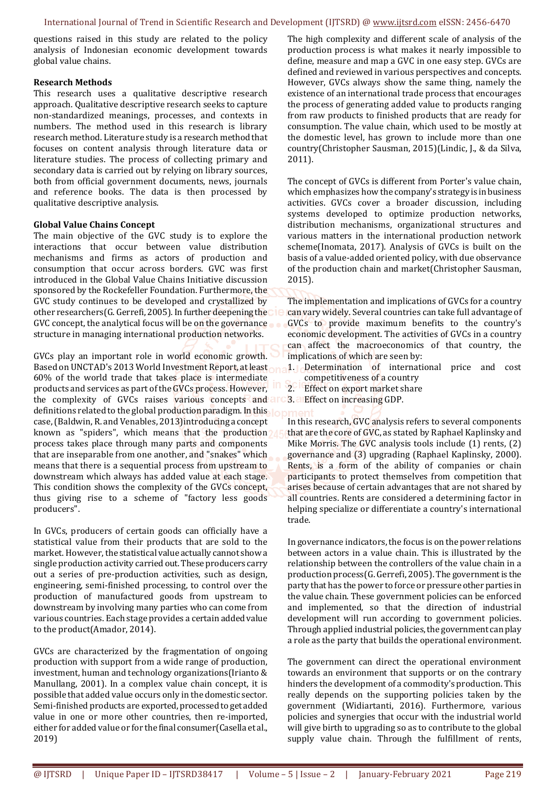questions raised in this study are related to the policy analysis of Indonesian economic development towards global value chains.

## **Research Methods**

This research uses a qualitative descriptive research approach. Qualitative descriptive research seeks to capture non-standardized meanings, processes, and contexts in numbers. The method used in this research is library research method. Literature study is a research method that focuses on content analysis through literature data or literature studies. The process of collecting primary and secondary data is carried out by relying on library sources, both from official government documents, news, journals and reference books. The data is then processed by qualitative descriptive analysis.

## **Global Value Chains Concept**

The main objective of the GVC study is to explore the interactions that occur between value distribution mechanisms and firms as actors of production and consumption that occur across borders. GVC was first introduced in the Global Value Chains Initiative discussion sponsored by the Rockefeller Foundation. Furthermore, the GVC study continues to be developed and crystallized by other researchers(G. Gerrefi, 2005). In further deepening the GVC concept, the analytical focus will be on the governance structure in managing international production networks.

GVCs play an important role in world economic growth. Based on UNCTAD's 2013 World Investment Report, at least 60% of the world trade that takes place is intermediate products and services as part of the GVCs process. However, the complexity of GVCs raises various concepts and are definitions related to the global production paradigm. In this case, (Baldwin, R. and Venables, 2013)introducing a concept known as "spiders", which means that the production process takes place through many parts and components that are inseparable from one another, and "snakes" which means that there is a sequential process from upstream to downstream which always has added value at each stage. This condition shows the complexity of the GVCs concept, thus giving rise to a scheme of "factory less goods producers".

In GVCs, producers of certain goods can officially have a statistical value from their products that are sold to the market. However, the statistical value actually cannot show a single production activity carried out. These producers carry out a series of pre-production activities, such as design, engineering, semi-finished processing, to control over the production of manufactured goods from upstream to downstream by involving many parties who can come from various countries. Each stage provides a certain added value to the product(Amador, 2014).

GVCs are characterized by the fragmentation of ongoing production with support from a wide range of production, investment, human and technology organizations(Irianto & Manullang, 2001). In a complex value chain concept, it is possible that added value occurs only in the domestic sector. Semi-finished products are exported, processed to get added value in one or more other countries, then re-imported, either for added value or for the final consumer(Casella et al., 2019)

The high complexity and different scale of analysis of the production process is what makes it nearly impossible to define, measure and map a GVC in one easy step. GVCs are defined and reviewed in various perspectives and concepts. However, GVCs always show the same thing, namely the existence of an international trade process that encourages the process of generating added value to products ranging from raw products to finished products that are ready for consumption. The value chain, which used to be mostly at the domestic level, has grown to include more than one country(Christopher Sausman, 2015)(Lindic, J., & da Silva, 2011).

The concept of GVCs is different from Porter's value chain, which emphasizes how the company's strategy is in business activities. GVCs cover a broader discussion, including systems developed to optimize production networks, distribution mechanisms, organizational structures and various matters in the international production network scheme(Inomata, 2017). Analysis of GVCs is built on the basis of a value-added oriented policy, with due observance of the production chain and market(Christopher Sausman, 2015).

The implementation and implications of GVCs for a country can vary widely. Several countries can take full advantage of GVCs to provide maximum benefits to the country's economic development. The activities of GVCs in a country can affect the macroeconomics of that country, the implications of which are seen by:

1. Determination of international price and cost competitiveness of a country

- 2. Effect on export market share
- 3. Effect on increasing GDP.

In this research, GVC analysis refers to several components that are the core of GVC, as stated by Raphael Kaplinsky and Mike Morris. The GVC analysis tools include (1) rents, (2) governance and (3) upgrading (Raphael Kaplinsky, 2000). Rents, is a form of the ability of companies or chain participants to protect themselves from competition that arises because of certain advantages that are not shared by all countries. Rents are considered a determining factor in helping specialize or differentiate a country's international trade.

In governance indicators, the focus is on the power relations between actors in a value chain. This is illustrated by the relationship between the controllers of the value chain in a production process(G. Gerrefi, 2005). The government is the party that has the power to force or pressure other parties in the value chain. These government policies can be enforced and implemented, so that the direction of industrial development will run according to government policies. Through applied industrial policies, the government can play a role as the party that builds the operational environment.

The government can direct the operational environment towards an environment that supports or on the contrary hinders the development of a commodity's production. This really depends on the supporting policies taken by the government (Widiartanti, 2016). Furthermore, various policies and synergies that occur with the industrial world will give birth to upgrading so as to contribute to the global supply value chain. Through the fulfillment of rents,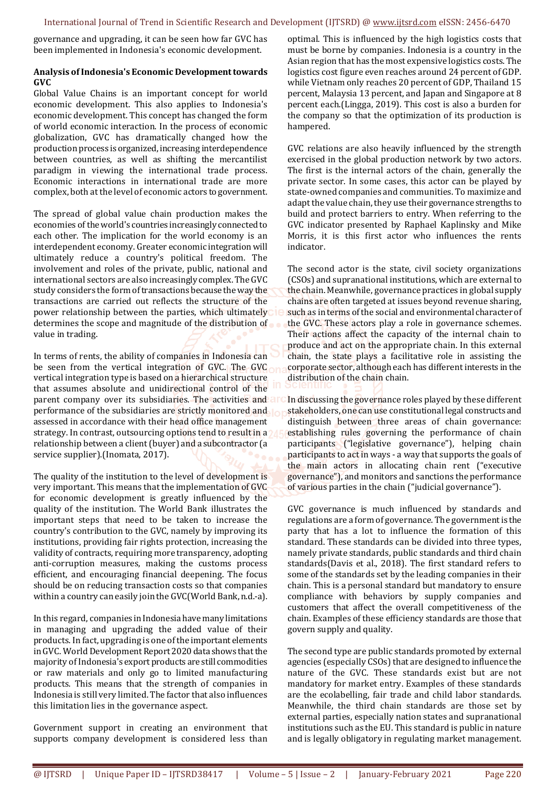governance and upgrading, it can be seen how far GVC has been implemented in Indonesia's economic development.

## **Analysis of Indonesia's Economic Development towards GVC**

Global Value Chains is an important concept for world economic development. This also applies to Indonesia's economic development. This concept has changed the form of world economic interaction. In the process of economic globalization, GVC has dramatically changed how the production process is organized, increasing interdependence between countries, as well as shifting the mercantilist paradigm in viewing the international trade process. Economic interactions in international trade are more complex, both at the level of economic actors to government.

The spread of global value chain production makes the economies of the world's countries increasingly connected to each other. The implication for the world economy is an interdependent economy. Greater economic integration will ultimately reduce a country's political freedom. The involvement and roles of the private, public, national and international sectors are also increasingly complex. The GVC study considers the form of transactions because the way the transactions are carried out reflects the structure of the power relationship between the parties, which ultimately determines the scope and magnitude of the distribution of value in trading.

In terms of rents, the ability of companies in Indonesia can be seen from the vertical integration of GVC. The GVC vertical integration type is based on a hierarchical structure that assumes absolute and unidirectional control of the parent company over its subsidiaries. The activities and all performance of the subsidiaries are strictly monitored and assessed in accordance with their head office management strategy. In contrast, outsourcing options tend to result in a a relationship between a client (buyer) and a subcontractor (a service supplier).(Inomata, 2017).

The quality of the institution to the level of development is very important. This means that the implementation of GVC for economic development is greatly influenced by the quality of the institution. The World Bank illustrates the important steps that need to be taken to increase the country's contribution to the GVC, namely by improving its institutions, providing fair rights protection, increasing the validity of contracts, requiring more transparency, adopting anti-corruption measures, making the customs process efficient, and encouraging financial deepening. The focus should be on reducing transaction costs so that companies within a country can easily join the GVC(World Bank, n.d.-a).

In this regard, companies in Indonesia have many limitations in managing and upgrading the added value of their products. In fact, upgrading is one of the important elements in GVC. World Development Report 2020 data shows that the majority of Indonesia's export products are still commodities or raw materials and only go to limited manufacturing products. This means that the strength of companies in Indonesia is still very limited. The factor that also influences this limitation lies in the governance aspect.

Government support in creating an environment that supports company development is considered less than

optimal. This is influenced by the high logistics costs that must be borne by companies. Indonesia is a country in the Asian region that has the most expensive logistics costs. The logistics cost figure even reaches around 24 percent of GDP. while Vietnam only reaches 20 percent of GDP, Thailand 15 percent, Malaysia 13 percent, and Japan and Singapore at 8 percent each.(Lingga, 2019). This cost is also a burden for the company so that the optimization of its production is hampered.

GVC relations are also heavily influenced by the strength exercised in the global production network by two actors. The first is the internal actors of the chain, generally the private sector. In some cases, this actor can be played by state-owned companies and communities. To maximize and adapt the value chain, they use their governance strengths to build and protect barriers to entry. When referring to the GVC indicator presented by Raphael Kaplinsky and Mike Morris, it is this first actor who influences the rents indicator.

The second actor is the state, civil society organizations (CSOs) and supranational institutions, which are external to the chain. Meanwhile, governance practices in global supply chains are often targeted at issues beyond revenue sharing, such as in terms of the social and environmental character of the GVC. These actors play a role in governance schemes. Their actions affect the capacity of the internal chain to produce and act on the appropriate chain. In this external chain, the state plays a facilitative role in assisting the corporate sector, although each has different interests in the distribution of the chain chain.

In discussing the governance roles played by these different stakeholders, one can use constitutional legal constructs and distinguish between three areas of chain governance: establishing rules governing the performance of chain participants ("legislative governance"), helping chain participants to act in ways - a way that supports the goals of the main actors in allocating chain rent ("executive governance"), and monitors and sanctions the performance of various parties in the chain ("judicial governance").

GVC governance is much influenced by standards and regulations are a form of governance. The government is the party that has a lot to influence the formation of this standard. These standards can be divided into three types, namely private standards, public standards and third chain standards(Davis et al., 2018). The first standard refers to some of the standards set by the leading companies in their chain. This is a personal standard but mandatory to ensure compliance with behaviors by supply companies and customers that affect the overall competitiveness of the chain. Examples of these efficiency standards are those that govern supply and quality.

The second type are public standards promoted by external agencies (especially CSOs) that are designed to influence the nature of the GVC. These standards exist but are not mandatory for market entry. Examples of these standards are the ecolabelling, fair trade and child labor standards. Meanwhile, the third chain standards are those set by external parties, especially nation states and supranational institutions such as the EU. This standard is public in nature and is legally obligatory in regulating market management.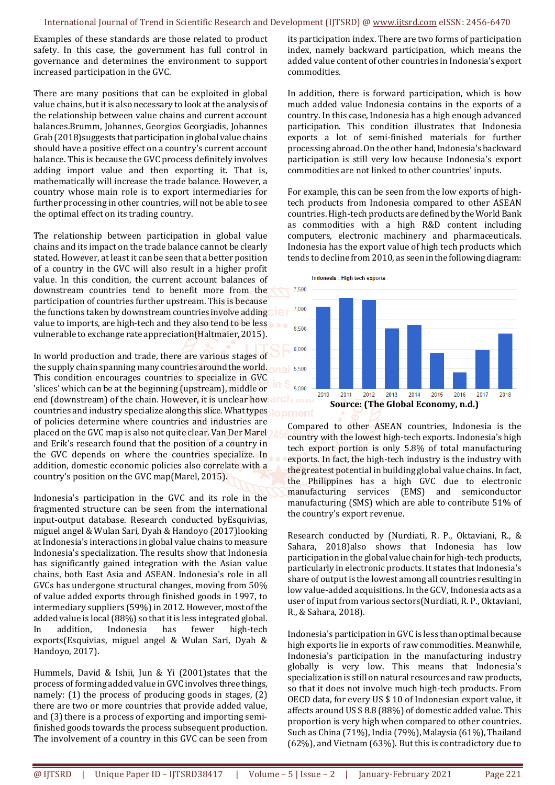Examples of these standards are those related to product safety. In this case, the government has full control in governance and determines the environment to support increased participation in the GVC.

There are many positions that can be exploited in global value chains, but it is also necessary to look at the analysis of the relationship between value chains and current account balances.Brumm, Johannes, Georgios Georgiadis, Johannes Grab (2018)suggests that participation in global value chains should have a positive effect on a country's current account balance. This is because the GVC process definitely involves adding import value and then exporting it. That is, mathematically will increase the trade balance. However, a country whose main role is to export intermediaries for further processing in other countries, will not be able to see the optimal effect on its trading country.

The relationship between participation in global value chains and its impact on the trade balance cannot be clearly stated. However, at least it can be seen that a better position of a country in the GVC will also result in a higher profit value. In this condition, the current account balances of downstream countries tend to benefit more from the participation of countries further upstream. This is because the functions taken by downstream countries involve adding value to imports, are high-tech and they also tend to be less vulnerable to exchange rate appreciation(Haltmaier, 2015).

In world production and trade, there are various stages of the supply chain spanning many countries around the world. This condition encourages countries to specialize in GVC 'slices' which can be at the beginning (upstream), middle or end (downstream) of the chain. However, it is unclear how countries and industry specialize along this slice. What types lopment of policies determine where countries and industries are placed on the GVC map is also not quite clear. Van Der Marel and Erik's research found that the position of a country in the GVC depends on where the countries specialize. In addition, domestic economic policies also correlate with a country's position on the GVC map(Marel, 2015).

Indonesia's participation in the GVC and its role in the fragmented structure can be seen from the international input-output database. Research conducted byEsquivias, miguel angel & Wulan Sari, Dyah & Handoyo (2017)looking at Indonesia's interactions in global value chains to measure Indonesia's specialization. The results show that Indonesia has significantly gained integration with the Asian value chains, both East Asia and ASEAN. Indonesia's role in all GVCs has undergone structural changes, moving from 50% of value added exports through finished goods in 1997, to intermediary suppliers (59%) in 2012. However, most of the added value is local (88%) so that it is less integrated global. In addition, Indonesia has fewer high-tech exports(Esquivias, miguel angel & Wulan Sari, Dyah & Handoyo, 2017).

Hummels, David & Ishii, Jun & Yi (2001)states that the process of forming added value in GVC involves three things, namely: (1) the process of producing goods in stages, (2) there are two or more countries that provide added value, and (3) there is a process of exporting and importing semifinished goods towards the process subsequent production. The involvement of a country in this GVC can be seen from

its participation index. There are two forms of participation index, namely backward participation, which means the added value content of other countries in Indonesia's export commodities.

In addition, there is forward participation, which is how much added value Indonesia contains in the exports of a country. In this case, Indonesia has a high enough advanced participation. This condition illustrates that Indonesia exports a lot of semi-finished materials for further processing abroad. On the other hand, Indonesia's backward participation is still very low because Indonesia's export commodities are not linked to other countries' inputs.

For example, this can be seen from the low exports of hightech products from Indonesia compared to other ASEAN countries. High-tech products are defined by the World Bank as commodities with a high R&D content including computers, electronic machinery and pharmaceuticals. Indonesia has the export value of high tech products which tends to decline from 2010, as seen in the following diagram:



Compared to other ASEAN countries, Indonesia is the country with the lowest high-tech exports. Indonesia's high tech export portion is only 5.8% of total manufacturing exports. In fact, the high-tech industry is the industry with the greatest potential in building global value chains. In fact, the Philippines has a high GVC due to electronic manufacturing services (EMS) and semiconductor manufacturing (SMS) which are able to contribute 51% of the country's export revenue.

Research conducted by (Nurdiati, R. P., Oktaviani, R., & Sahara, 2018)also shows that Indonesia has low participation in the global value chain for high-tech products, particularly in electronic products. It states that Indonesia's share of output is the lowest among all countries resulting in low value-added acquisitions. In the GCV, Indonesia acts as a user of input from various sectors(Nurdiati, R. P., Oktaviani, R., & Sahara, 2018).

Indonesia's participation in GVC is less than optimal because high exports lie in exports of raw commodities. Meanwhile, Indonesia's participation in the manufacturing industry globally is very low. This means that Indonesia's specialization is still on natural resources and raw products, so that it does not involve much high-tech products. From OECD data, for every US \$ 10 of Indonesian export value, it affects around US \$ 8.8 (88%) of domestic added value. This proportion is very high when compared to other countries. Such as China (71%), India (79%), Malaysia (61%), Thailand (62%), and Vietnam (63%). But this is contradictory due to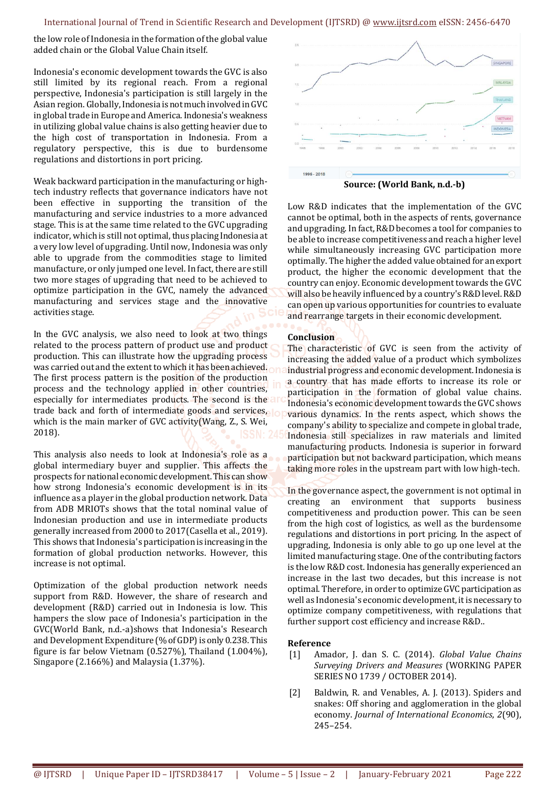the low role of Indonesia in the formation of the global value added chain or the Global Value Chain itself.

Indonesia's economic development towards the GVC is also still limited by its regional reach. From a regional perspective, Indonesia's participation is still largely in the Asian region. Globally, Indonesia is not much involved in GVC in global trade in Europe and America. Indonesia's weakness in utilizing global value chains is also getting heavier due to the high cost of transportation in Indonesia. From a regulatory perspective, this is due to burdensome regulations and distortions in port pricing.

Weak backward participation in the manufacturing or hightech industry reflects that governance indicators have not been effective in supporting the transition of the manufacturing and service industries to a more advanced stage. This is at the same time related to the GVC upgrading indicator, which is still not optimal, thus placing Indonesia at a very low level of upgrading. Until now, Indonesia was only able to upgrade from the commodities stage to limited manufacture, or only jumped one level. In fact, there are still two more stages of upgrading that need to be achieved to optimize participation in the GVC, namely the advanced manufacturing and services stage and the innovative activities stage.

In the GVC analysis, we also need to look at two things related to the process pattern of product use and product production. This can illustrate how the upgrading process was carried out and the extent to which it has been achieved. The first process pattern is the position of the production process and the technology applied in other countries, especially for intermediates products. The second is the a trade back and forth of intermediate goods and services, which is the main marker of GVC activity(Wang, Z., S. Wei, 2018).

This analysis also needs to look at Indonesia's role as a global intermediary buyer and supplier. This affects the prospects for national economic development. This can show how strong Indonesia's economic development is in its influence as a player in the global production network. Data from ADB MRIOTs shows that the total nominal value of Indonesian production and use in intermediate products generally increased from 2000 to 2017(Casella et al., 2019). This shows that Indonesia's participation is increasing in the formation of global production networks. However, this increase is not optimal.

Optimization of the global production network needs support from R&D. However, the share of research and development (R&D) carried out in Indonesia is low. This hampers the slow pace of Indonesia's participation in the GVC(World Bank, n.d.-a)shows that Indonesia's Research and Development Expenditure (% of GDP) is only 0.238. This figure is far below Vietnam (0.527%), Thailand (1.004%), Singapore (2.166%) and Malaysia (1.37%).



**Source: (World Bank, n.d.-b)** 

Low R&D indicates that the implementation of the GVC cannot be optimal, both in the aspects of rents, governance and upgrading. In fact, R&D becomes a tool for companies to be able to increase competitiveness and reach a higher level while simultaneously increasing GVC participation more optimally. The higher the added value obtained for an export product, the higher the economic development that the country can enjoy. Economic development towards the GVC will also be heavily influenced by a country's R&D level. R&D can open up various opportunities for countries to evaluate and rearrange targets in their economic development.

## **Conclusion**

The characteristic of GVC is seen from the activity of increasing the added value of a product which symbolizes industrial progress and economic development. Indonesia is a country that has made efforts to increase its role or participation in the formation of global value chains. Indonesia's economic development towards the GVC shows various dynamics. In the rents aspect, which shows the company's ability to specialize and compete in global trade, Indonesia still specializes in raw materials and limited manufacturing products. Indonesia is superior in forward participation but not backward participation, which means taking more roles in the upstream part with low high-tech.

In the governance aspect, the government is not optimal in creating an environment that supports business competitiveness and production power. This can be seen from the high cost of logistics, as well as the burdensome regulations and distortions in port pricing. In the aspect of upgrading, Indonesia is only able to go up one level at the limited manufacturing stage. One of the contributing factors is the low R&D cost. Indonesia has generally experienced an increase in the last two decades, but this increase is not optimal. Therefore, in order to optimize GVC participation as well as Indonesia's economic development, it is necessary to optimize company competitiveness, with regulations that further support cost efficiency and increase R&D..

### **Reference**

- [1] Amador, J. dan S. C. (2014). *Global Value Chains Surveying Drivers and Measures* (WORKING PAPER SERIES NO 1739 / OCTOBER 2014).
- [2] Baldwin, R. and Venables, A. J. (2013). Spiders and snakes: Off shoring and agglomeration in the global economy. *Journal of International Economics*, *2*(90), 245–254.